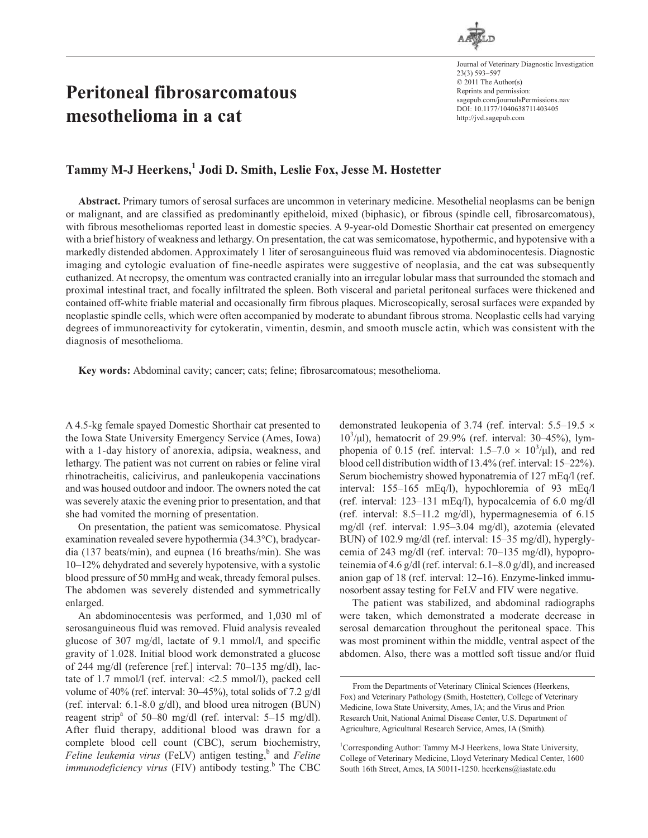

Journal of Veterinary Diagnostic Investigation 23(3) 593–597 © 2011 The Author(s) Reprints and permission: sagepub.com/journalsPermissions.nav DOI: 10.1177/1040638711403405 http://jvd.sagepub.com

# **Peritoneal fibrosarcomatous mesothelioma in a cat**

# Tammy M-J Heerkens,<sup>1</sup> Jodi D. Smith, Leslie Fox, Jesse M. Hostetter

**Abstract.** Primary tumors of serosal surfaces are uncommon in veterinary medicine. Mesothelial neoplasms can be benign or malignant, and are classified as predominantly epitheloid, mixed (biphasic), or fibrous (spindle cell, fibrosarcomatous), with fibrous mesotheliomas reported least in domestic species. A 9-year-old Domestic Shorthair cat presented on emergency with a brief history of weakness and lethargy. On presentation, the cat was semicomatose, hypothermic, and hypotensive with a markedly distended abdomen. Approximately 1 liter of serosanguineous fluid was removed via abdominocentesis. Diagnostic imaging and cytologic evaluation of fine-needle aspirates were suggestive of neoplasia, and the cat was subsequently euthanized. At necropsy, the omentum was contracted cranially into an irregular lobular mass that surrounded the stomach and proximal intestinal tract, and focally infiltrated the spleen. Both visceral and parietal peritoneal surfaces were thickened and contained off-white friable material and occasionally firm fibrous plaques. Microscopically, serosal surfaces were expanded by neoplastic spindle cells, which were often accompanied by moderate to abundant fibrous stroma. Neoplastic cells had varying degrees of immunoreactivity for cytokeratin, vimentin, desmin, and smooth muscle actin, which was consistent with the diagnosis of mesothelioma.

**Key words:** Abdominal cavity; cancer; cats; feline; fibrosarcomatous; mesothelioma.

A 4.5-kg female spayed Domestic Shorthair cat presented to the Iowa State University Emergency Service (Ames, Iowa) with a 1-day history of anorexia, adipsia, weakness, and lethargy. The patient was not current on rabies or feline viral rhinotracheitis, calicivirus, and panleukopenia vaccinations and was housed outdoor and indoor. The owners noted the cat was severely ataxic the evening prior to presentation, and that she had vomited the morning of presentation.

On presentation, the patient was semicomatose. Physical examination revealed severe hypothermia (34.3°C), bradycardia (137 beats/min), and eupnea (16 breaths/min). She was 10–12% dehydrated and severely hypotensive, with a systolic blood pressure of 50 mmHg and weak, thready femoral pulses. The abdomen was severely distended and symmetrically enlarged.

An abdominocentesis was performed, and 1,030 ml of serosanguineous fluid was removed. Fluid analysis revealed glucose of 307 mg/dl, lactate of 9.1 mmol/l, and specific gravity of 1.028. Initial blood work demonstrated a glucose of 244 mg/dl (reference [ref.] interval: 70–135 mg/dl), lactate of 1.7 mmol/l (ref. interval: <2.5 mmol/l), packed cell volume of 40% (ref. interval: 30–45%), total solids of 7.2 g/dl (ref. interval: 6.1-8.0 g/dl), and blood urea nitrogen (BUN) reagent strip<sup>a</sup> of 50–80 mg/dl (ref. interval: 5–15 mg/dl). After fluid therapy, additional blood was drawn for a complete blood cell count (CBC), serum biochemistry, *Feline leukemia virus* (FeLV) antigen testing,<sup>b</sup> and *Feline immunodeficiency virus* (FIV) antibody testing.<sup>b</sup> The CBC demonstrated leukopenia of 3.74 (ref. interval: 5.5–19.5 ×  $10^3$ / $\mu$ l), hematocrit of 29.9% (ref. interval: 30–45%), lymphopenia of 0.15 (ref. interval:  $1.5-7.0 \times 10^3/\mu$ ), and red blood cell distribution width of 13.4% (ref. interval: 15–22%). Serum biochemistry showed hyponatremia of 127 mEq/l (ref. interval: 155–165 mEq/l), hypochloremia of 93 mEq/l (ref. interval: 123–131 mEq/l), hypocalcemia of 6.0 mg/dl (ref. interval: 8.5–11.2 mg/dl), hypermagnesemia of 6.15 mg/dl (ref. interval: 1.95–3.04 mg/dl), azotemia (elevated BUN) of 102.9 mg/dl (ref. interval: 15–35 mg/dl), hyperglycemia of 243 mg/dl (ref. interval: 70–135 mg/dl), hypoproteinemia of 4.6 g/dl (ref. interval: 6.1–8.0 g/dl), and increased anion gap of 18 (ref. interval: 12–16). Enzyme-linked immunosorbent assay testing for FeLV and FIV were negative.

The patient was stabilized, and abdominal radiographs were taken, which demonstrated a moderate decrease in serosal demarcation throughout the peritoneal space. This was most prominent within the middle, ventral aspect of the abdomen. Also, there was a mottled soft tissue and/or fluid

From the Departments of Veterinary Clinical Sciences (Heerkens, Fox) and Veterinary Pathology (Smith, Hostetter), College of Veterinary Medicine, Iowa State University, Ames, IA; and the Virus and Prion Research Unit, National Animal Disease Center, U.S. Department of Agriculture, Agricultural Research Service, Ames, IA (Smith).

<sup>&</sup>lt;sup>1</sup>Corresponding Author: Tammy M-J Heerkens, Iowa State University, College of Veterinary Medicine, Lloyd Veterinary Medical Center, 1600 South 16th Street, Ames, IA 50011-1250. heerkens@iastate.edu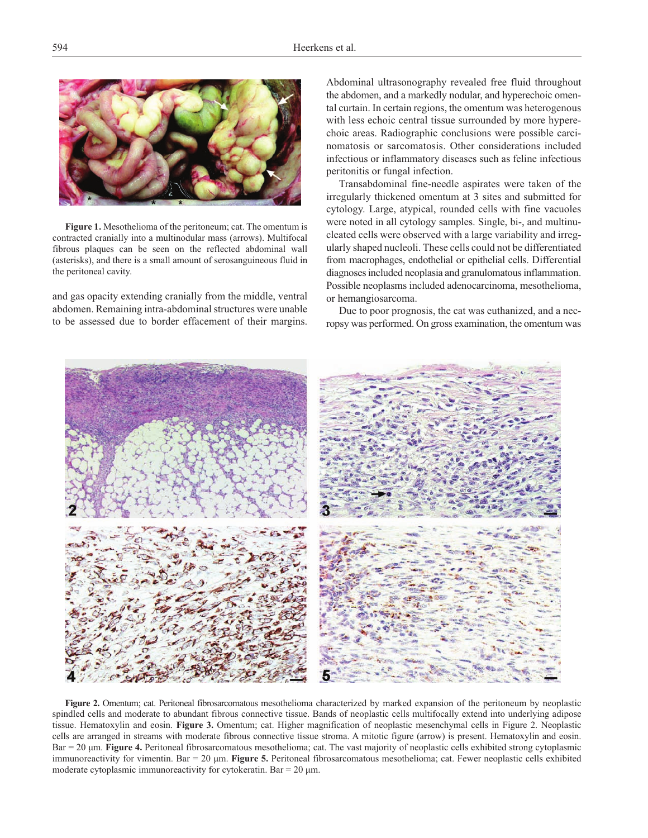

**Figure 1.** Mesothelioma of the peritoneum; cat. The omentum is contracted cranially into a multinodular mass (arrows). Multifocal fibrous plaques can be seen on the reflected abdominal wall (asterisks), and there is a small amount of serosanguineous fluid in the peritoneal cavity.

and gas opacity extending cranially from the middle, ventral abdomen. Remaining intra-abdominal structures were unable to be assessed due to border effacement of their margins. Abdominal ultrasonography revealed free fluid throughout the abdomen, and a markedly nodular, and hyperechoic omental curtain. In certain regions, the omentum was heterogenous with less echoic central tissue surrounded by more hyperechoic areas. Radiographic conclusions were possible carcinomatosis or sarcomatosis. Other considerations included infectious or inflammatory diseases such as feline infectious peritonitis or fungal infection.

Transabdominal fine-needle aspirates were taken of the irregularly thickened omentum at 3 sites and submitted for cytology. Large, atypical, rounded cells with fine vacuoles were noted in all cytology samples. Single, bi-, and multinucleated cells were observed with a large variability and irregularly shaped nucleoli. These cells could not be differentiated from macrophages, endothelial or epithelial cells. Differential diagnoses included neoplasia and granulomatous inflammation. Possible neoplasms included adenocarcinoma, mesothelioma, or hemangiosarcoma.

Due to poor prognosis, the cat was euthanized, and a necropsy was performed. On gross examination, the omentum was



**Figure 2.** Omentum; cat. Peritoneal fibrosarcomatous mesothelioma characterized by marked expansion of the peritoneum by neoplastic spindled cells and moderate to abundant fibrous connective tissue. Bands of neoplastic cells multifocally extend into underlying adipose tissue. Hematoxylin and eosin. **Figure 3.** Omentum; cat. Higher magnification of neoplastic mesenchymal cells in Figure 2. Neoplastic cells are arranged in streams with moderate fibrous connective tissue stroma. A mitotic figure (arrow) is present. Hematoxylin and eosin. Bar = 20  $\mu$ m. **Figure 4.** Peritoneal fibrosarcomatous mesothelioma; cat. The vast majority of neoplastic cells exhibited strong cytoplasmic immunoreactivity for vimentin. Bar = 20 µm. **Figure 5.** Peritoneal fibrosarcomatous mesothelioma; cat. Fewer neoplastic cells exhibited moderate cytoplasmic immunoreactivity for cytokeratin. Bar =  $20 \mu m$ .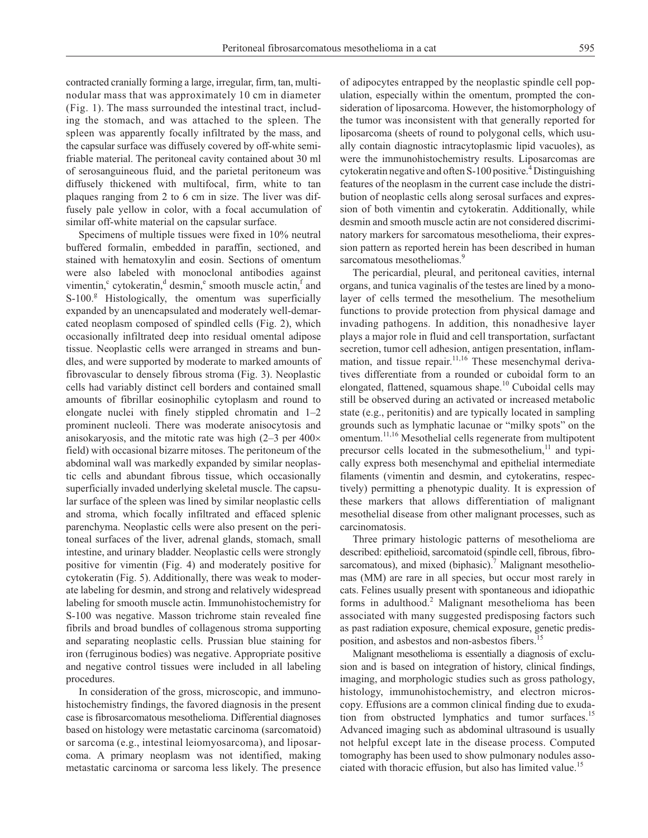contracted cranially forming a large, irregular, firm, tan, multinodular mass that was approximately 10 cm in diameter (Fig. 1). The mass surrounded the intestinal tract, including the stomach, and was attached to the spleen. The spleen was apparently focally infiltrated by the mass, and the capsular surface was diffusely covered by off-white semifriable material. The peritoneal cavity contained about 30 ml of serosanguineous fluid, and the parietal peritoneum was diffusely thickened with multifocal, firm, white to tan plaques ranging from 2 to 6 cm in size. The liver was diffusely pale yellow in color, with a focal accumulation of similar off-white material on the capsular surface.

Specimens of multiple tissues were fixed in 10% neutral buffered formalin, embedded in paraffin, sectioned, and stained with hematoxylin and eosin. Sections of omentum were also labeled with monoclonal antibodies against vimentin,<sup>c</sup> cytokeratin,<sup>d</sup> desmin,<sup>e</sup> smooth muscle actin,<sup>f</sup> and S-100.<sup>g</sup> Histologically, the omentum was superficially expanded by an unencapsulated and moderately well-demarcated neoplasm composed of spindled cells (Fig. 2), which occasionally infiltrated deep into residual omental adipose tissue. Neoplastic cells were arranged in streams and bundles, and were supported by moderate to marked amounts of fibrovascular to densely fibrous stroma (Fig. 3). Neoplastic cells had variably distinct cell borders and contained small amounts of fibrillar eosinophilic cytoplasm and round to elongate nuclei with finely stippled chromatin and 1–2 prominent nucleoli. There was moderate anisocytosis and anisokaryosis, and the mitotic rate was high (2–3 per 400× field) with occasional bizarre mitoses. The peritoneum of the abdominal wall was markedly expanded by similar neoplastic cells and abundant fibrous tissue, which occasionally superficially invaded underlying skeletal muscle. The capsular surface of the spleen was lined by similar neoplastic cells and stroma, which focally infiltrated and effaced splenic parenchyma. Neoplastic cells were also present on the peritoneal surfaces of the liver, adrenal glands, stomach, small intestine, and urinary bladder. Neoplastic cells were strongly positive for vimentin (Fig. 4) and moderately positive for cytokeratin (Fig. 5). Additionally, there was weak to moderate labeling for desmin, and strong and relatively widespread labeling for smooth muscle actin. Immunohistochemistry for S-100 was negative. Masson trichrome stain revealed fine fibrils and broad bundles of collagenous stroma supporting and separating neoplastic cells. Prussian blue staining for iron (ferruginous bodies) was negative. Appropriate positive and negative control tissues were included in all labeling procedures.

In consideration of the gross, microscopic, and immunohistochemistry findings, the favored diagnosis in the present case is fibrosarcomatous mesothelioma. Differential diagnoses based on histology were metastatic carcinoma (sarcomatoid) or sarcoma (e.g., intestinal leiomyosarcoma), and liposarcoma. A primary neoplasm was not identified, making metastatic carcinoma or sarcoma less likely. The presence

of adipocytes entrapped by the neoplastic spindle cell population, especially within the omentum, prompted the consideration of liposarcoma. However, the histomorphology of the tumor was inconsistent with that generally reported for liposarcoma (sheets of round to polygonal cells, which usually contain diagnostic intracytoplasmic lipid vacuoles), as were the immunohistochemistry results. Liposarcomas are cytokeratin negative and often S-100 positive.<sup>4</sup> Distinguishing features of the neoplasm in the current case include the distribution of neoplastic cells along serosal surfaces and expression of both vimentin and cytokeratin. Additionally, while desmin and smooth muscle actin are not considered discriminatory markers for sarcomatous mesothelioma, their expression pattern as reported herein has been described in human sarcomatous mesotheliomas.<sup>9</sup>

The pericardial, pleural, and peritoneal cavities, internal organs, and tunica vaginalis of the testes are lined by a monolayer of cells termed the mesothelium. The mesothelium functions to provide protection from physical damage and invading pathogens. In addition, this nonadhesive layer plays a major role in fluid and cell transportation, surfactant secretion, tumor cell adhesion, antigen presentation, inflammation, and tissue repair. $11,16$  These mesenchymal derivatives differentiate from a rounded or cuboidal form to an elongated, flattened, squamous shape.<sup>10</sup> Cuboidal cells may still be observed during an activated or increased metabolic state (e.g., peritonitis) and are typically located in sampling grounds such as lymphatic lacunae or "milky spots" on the omentum.11,16 Mesothelial cells regenerate from multipotent precursor cells located in the submesothelium, $^{11}$  and typically express both mesenchymal and epithelial intermediate filaments (vimentin and desmin, and cytokeratins, respectively) permitting a phenotypic duality. It is expression of these markers that allows differentiation of malignant mesothelial disease from other malignant processes, such as carcinomatosis.

Three primary histologic patterns of mesothelioma are described: epithelioid, sarcomatoid (spindle cell, fibrous, fibrosarcomatous), and mixed (biphasic).<sup>7</sup> Malignant mesotheliomas (MM) are rare in all species, but occur most rarely in cats. Felines usually present with spontaneous and idiopathic forms in adulthood.<sup>2</sup> Malignant mesothelioma has been associated with many suggested predisposing factors such as past radiation exposure, chemical exposure, genetic predisposition, and asbestos and non-asbestos fibers.<sup>15</sup>

Malignant mesothelioma is essentially a diagnosis of exclusion and is based on integration of history, clinical findings, imaging, and morphologic studies such as gross pathology, histology, immunohistochemistry, and electron microscopy. Effusions are a common clinical finding due to exudation from obstructed lymphatics and tumor surfaces.<sup>15</sup> Advanced imaging such as abdominal ultrasound is usually not helpful except late in the disease process. Computed tomography has been used to show pulmonary nodules associated with thoracic effusion, but also has limited value.<sup>15</sup>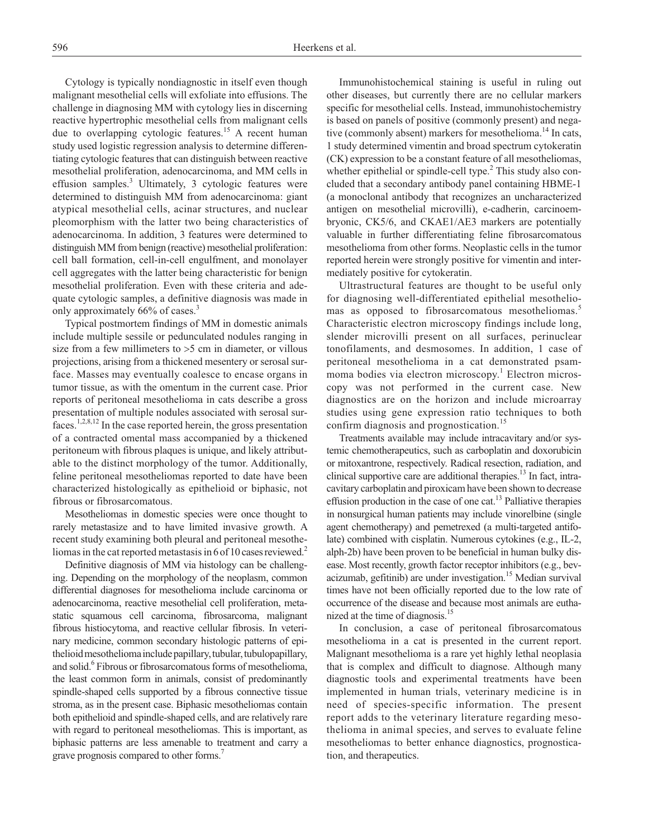Cytology is typically nondiagnostic in itself even though malignant mesothelial cells will exfoliate into effusions. The challenge in diagnosing MM with cytology lies in discerning reactive hypertrophic mesothelial cells from malignant cells due to overlapping cytologic features.<sup>15</sup> A recent human study used logistic regression analysis to determine differentiating cytologic features that can distinguish between reactive mesothelial proliferation, adenocarcinoma, and MM cells in effusion samples.<sup>3</sup> Ultimately, 3 cytologic features were determined to distinguish MM from adenocarcinoma: giant atypical mesothelial cells, acinar structures, and nuclear pleomorphism with the latter two being characteristics of adenocarcinoma. In addition, 3 features were determined to distinguish MM from benign (reactive) mesothelial proliferation: cell ball formation, cell-in-cell engulfment, and monolayer cell aggregates with the latter being characteristic for benign mesothelial proliferation. Even with these criteria and adequate cytologic samples, a definitive diagnosis was made in only approximately 66% of cases.<sup>3</sup>

Typical postmortem findings of MM in domestic animals include multiple sessile or pedunculated nodules ranging in size from a few millimeters to >5 cm in diameter, or villous projections, arising from a thickened mesentery or serosal surface. Masses may eventually coalesce to encase organs in tumor tissue, as with the omentum in the current case. Prior reports of peritoneal mesothelioma in cats describe a gross presentation of multiple nodules associated with serosal surfaces.<sup>1,2,8,12</sup> In the case reported herein, the gross presentation of a contracted omental mass accompanied by a thickened peritoneum with fibrous plaques is unique, and likely attributable to the distinct morphology of the tumor. Additionally, feline peritoneal mesotheliomas reported to date have been characterized histologically as epithelioid or biphasic, not fibrous or fibrosarcomatous.

Mesotheliomas in domestic species were once thought to rarely metastasize and to have limited invasive growth. A recent study examining both pleural and peritoneal mesotheliomas in the cat reported metastasis in 6 of 10 cases reviewed.<sup>2</sup>

Definitive diagnosis of MM via histology can be challenging. Depending on the morphology of the neoplasm, common differential diagnoses for mesothelioma include carcinoma or adenocarcinoma, reactive mesothelial cell proliferation, metastatic squamous cell carcinoma, fibrosarcoma, malignant fibrous histiocytoma, and reactive cellular fibrosis. In veterinary medicine, common secondary histologic patterns of epithelioid mesothelioma include papillary, tubular, tubulopapillary, and solid.<sup>6</sup> Fibrous or fibrosarcomatous forms of mesothelioma, the least common form in animals, consist of predominantly spindle-shaped cells supported by a fibrous connective tissue stroma, as in the present case. Biphasic mesotheliomas contain both epithelioid and spindle-shaped cells, and are relatively rare with regard to peritoneal mesotheliomas. This is important, as biphasic patterns are less amenable to treatment and carry a grave prognosis compared to other forms.7

Immunohistochemical staining is useful in ruling out other diseases, but currently there are no cellular markers specific for mesothelial cells. Instead, immunohistochemistry is based on panels of positive (commonly present) and negative (commonly absent) markers for mesothelioma.<sup>14</sup> In cats, 1 study determined vimentin and broad spectrum cytokeratin (CK) expression to be a constant feature of all mesotheliomas, whether epithelial or spindle-cell type. $<sup>2</sup>$  This study also con-</sup> cluded that a secondary antibody panel containing HBME-1 (a monoclonal antibody that recognizes an uncharacterized antigen on mesothelial microvilli), e-cadherin, carcinoembryonic, CK5/6, and CKAE1/AE3 markers are potentially valuable in further differentiating feline fibrosarcomatous mesothelioma from other forms. Neoplastic cells in the tumor reported herein were strongly positive for vimentin and intermediately positive for cytokeratin.

Ultrastructural features are thought to be useful only for diagnosing well-differentiated epithelial mesotheliomas as opposed to fibrosarcomatous mesotheliomas.<sup>5</sup> Characteristic electron microscopy findings include long, slender microvilli present on all surfaces, perinuclear tonofilaments, and desmosomes. In addition, 1 case of peritoneal mesothelioma in a cat demonstrated psammoma bodies via electron microscopy.<sup>1</sup> Electron microscopy was not performed in the current case. New diagnostics are on the horizon and include microarray studies using gene expression ratio techniques to both confirm diagnosis and prognostication.<sup>15</sup>

Treatments available may include intracavitary and/or systemic chemotherapeutics, such as carboplatin and doxorubicin or mitoxantrone, respectively. Radical resection, radiation, and clinical supportive care are additional therapies. $^{13}$  In fact, intracavitary carboplatin and piroxicam have been shown to decrease effusion production in the case of one cat.<sup>13</sup> Palliative therapies in nonsurgical human patients may include vinorelbine (single agent chemotherapy) and pemetrexed (a multi-targeted antifolate) combined with cisplatin. Numerous cytokines (e.g., IL-2, alph-2b) have been proven to be beneficial in human bulky disease. Most recently, growth factor receptor inhibitors (e.g., bevacizumab, gefitinib) are under investigation.<sup>15</sup> Median survival times have not been officially reported due to the low rate of occurrence of the disease and because most animals are euthanized at the time of diagnosis.<sup>15</sup>

In conclusion, a case of peritoneal fibrosarcomatous mesothelioma in a cat is presented in the current report. Malignant mesothelioma is a rare yet highly lethal neoplasia that is complex and difficult to diagnose. Although many diagnostic tools and experimental treatments have been implemented in human trials, veterinary medicine is in need of species-specific information. The present report adds to the veterinary literature regarding mesothelioma in animal species, and serves to evaluate feline mesotheliomas to better enhance diagnostics, prognostication, and therapeutics.